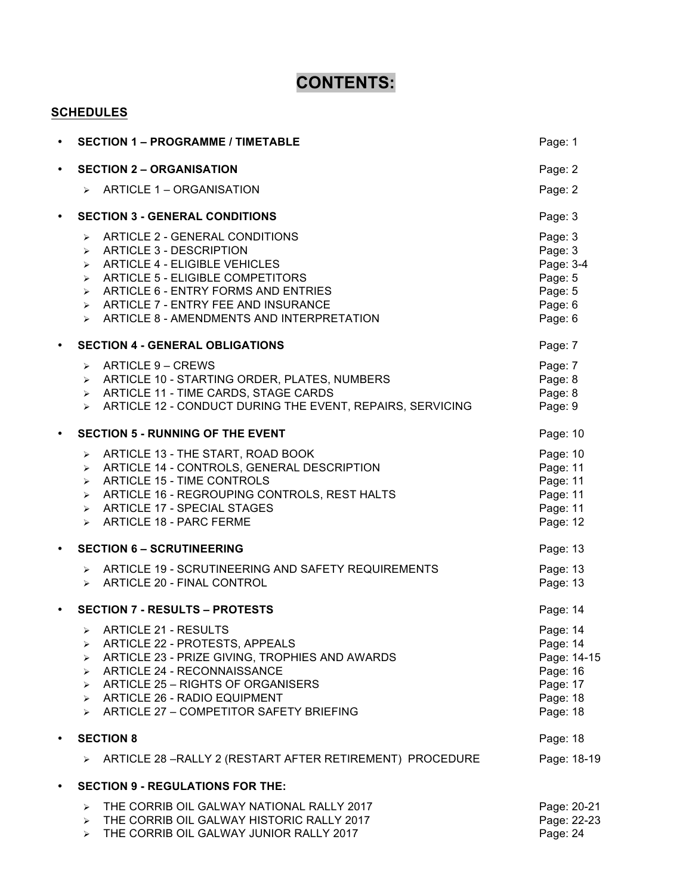# **CONTENTS:**

## **SCHEDULES**

| $\bullet$ | <b>SECTION 1 - PROGRAMME / TIMETABLE</b>                                                                                                                                                                                                                                                                                                                                                          |                                                                                     |  |  |
|-----------|---------------------------------------------------------------------------------------------------------------------------------------------------------------------------------------------------------------------------------------------------------------------------------------------------------------------------------------------------------------------------------------------------|-------------------------------------------------------------------------------------|--|--|
| $\bullet$ | <b>SECTION 2 - ORGANISATION</b>                                                                                                                                                                                                                                                                                                                                                                   |                                                                                     |  |  |
|           | ARTICLE 1 - ORGANISATION<br>$\blacktriangleright$                                                                                                                                                                                                                                                                                                                                                 | Page: 2                                                                             |  |  |
| $\bullet$ | <b>SECTION 3 - GENERAL CONDITIONS</b>                                                                                                                                                                                                                                                                                                                                                             | Page: 3                                                                             |  |  |
|           | ARTICLE 2 - GENERAL CONDITIONS<br>➤<br><b>ARTICLE 3 - DESCRIPTION</b><br>$\blacktriangleright$<br><b>ARTICLE 4 - ELIGIBLE VEHICLES</b><br>➤<br><b>ARTICLE 5 - ELIGIBLE COMPETITORS</b><br>➤<br>ARTICLE 6 - ENTRY FORMS AND ENTRIES<br>$\blacktriangleright$<br>ARTICLE 7 - ENTRY FEE AND INSURANCE<br>$\blacktriangleright$<br>ARTICLE 8 - AMENDMENTS AND INTERPRETATION<br>$\blacktriangleright$ | Page: 3<br>Page: 3<br>Page: 3-4<br>Page: 5<br>Page: 5<br>Page: 6<br>Page: 6         |  |  |
| $\bullet$ | <b>SECTION 4 - GENERAL OBLIGATIONS</b>                                                                                                                                                                                                                                                                                                                                                            | Page: 7                                                                             |  |  |
|           | ARTICLE 9 - CREWS<br>$\blacktriangleright$<br>ARTICLE 10 - STARTING ORDER, PLATES, NUMBERS<br>$\blacktriangleright$<br>ARTICLE 11 - TIME CARDS, STAGE CARDS<br>➤<br>ARTICLE 12 - CONDUCT DURING THE EVENT, REPAIRS, SERVICING<br>$\blacktriangleright$                                                                                                                                            | Page: 7<br>Page: 8<br>Page: 8<br>Page: 9                                            |  |  |
| $\bullet$ | <b>SECTION 5 - RUNNING OF THE EVENT</b>                                                                                                                                                                                                                                                                                                                                                           | Page: 10                                                                            |  |  |
|           | ARTICLE 13 - THE START, ROAD BOOK<br>≻<br>ARTICLE 14 - CONTROLS, GENERAL DESCRIPTION<br>➤<br><b>ARTICLE 15 - TIME CONTROLS</b><br>➤<br>ARTICLE 16 - REGROUPING CONTROLS, REST HALTS<br>➤<br><b>ARTICLE 17 - SPECIAL STAGES</b><br>$\blacktriangleright$<br><b>ARTICLE 18 - PARC FERME</b><br>$\blacktriangleright$                                                                                | Page: 10<br>Page: 11<br>Page: 11<br>Page: 11<br>Page: 11<br>Page: 12                |  |  |
| $\bullet$ | <b>SECTION 6 - SCRUTINEERING</b>                                                                                                                                                                                                                                                                                                                                                                  | Page: 13                                                                            |  |  |
|           | ARTICLE 19 - SCRUTINEERING AND SAFETY REQUIREMENTS<br>$\blacktriangleright$<br>ARTICLE 20 - FINAL CONTROL<br>$\blacktriangleright$                                                                                                                                                                                                                                                                | Page: 13<br>Page: 13                                                                |  |  |
| $\bullet$ | <b>SECTION 7 - RESULTS - PROTESTS</b>                                                                                                                                                                                                                                                                                                                                                             | Page: 14                                                                            |  |  |
|           | <b>ARTICLE 21 - RESULTS</b><br>$\blacktriangleright$<br>ARTICLE 22 - PROTESTS, APPEALS<br>≻<br>ARTICLE 23 - PRIZE GIVING, TROPHIES AND AWARDS<br>➤<br>ARTICLE 24 - RECONNAISSANCE<br>➤<br>ARTICLE 25 - RIGHTS OF ORGANISERS<br>➤<br><b>ARTICLE 26 - RADIO EQUIPMENT</b><br>$\blacktriangleright$<br>ARTICLE 27 - COMPETITOR SAFETY BRIEFING<br>$\blacktriangleright$                              | Page: 14<br>Page: 14<br>Page: 14-15<br>Page: 16<br>Page: 17<br>Page: 18<br>Page: 18 |  |  |
| $\bullet$ | <b>SECTION 8</b>                                                                                                                                                                                                                                                                                                                                                                                  | Page: 18                                                                            |  |  |
|           | ARTICLE 28 - RALLY 2 (RESTART AFTER RETIREMENT) PROCEDURE<br>➤                                                                                                                                                                                                                                                                                                                                    | Page: 18-19                                                                         |  |  |
| $\bullet$ | <b>SECTION 9 - REGULATIONS FOR THE:</b>                                                                                                                                                                                                                                                                                                                                                           |                                                                                     |  |  |
|           | THE CORRIB OIL GALWAY NATIONAL RALLY 2017<br>$\blacktriangleright$<br>THE CORRIB OIL GALWAY HISTORIC RALLY 2017<br>$\blacktriangleright$<br>THE CORRIB OIL GALWAY JUNIOR RALLY 2017<br>$\blacktriangleright$                                                                                                                                                                                      | Page: 20-21<br>Page: 22-23<br>Page: 24                                              |  |  |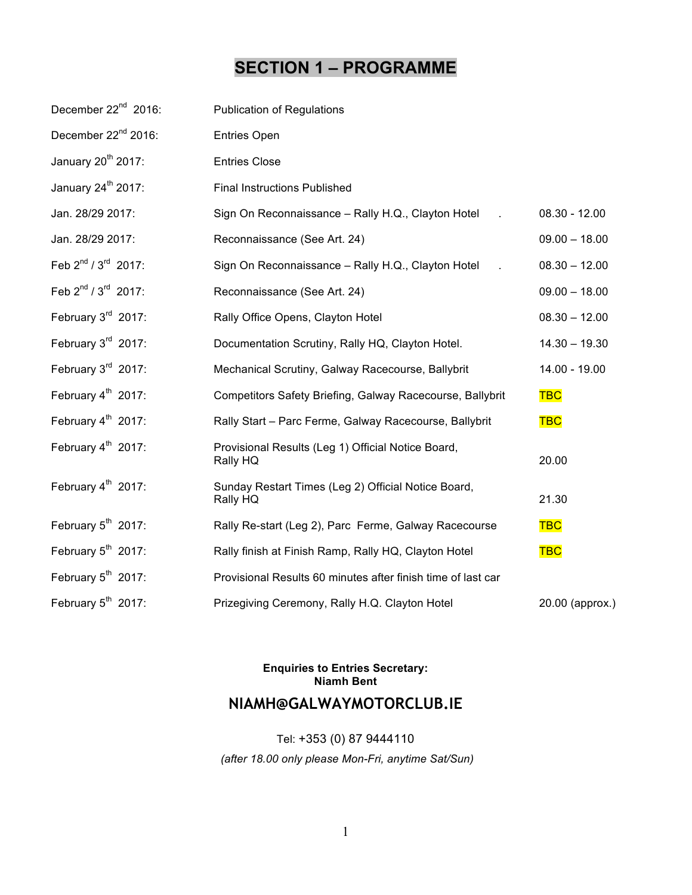# **SECTION 1 – PROGRAMME**

| December 22 <sup>nd</sup> 2016:             | <b>Publication of Regulations</b>                               |                 |
|---------------------------------------------|-----------------------------------------------------------------|-----------------|
| December 22 <sup>nd</sup> 2016:             | <b>Entries Open</b>                                             |                 |
| January 20 <sup>th</sup> 2017:              | <b>Entries Close</b>                                            |                 |
| January 24 <sup>th</sup> 2017:              | <b>Final Instructions Published</b>                             |                 |
| Jan. 28/29 2017:                            | Sign On Reconnaissance - Rally H.Q., Clayton Hotel              | $08.30 - 12.00$ |
| Jan. 28/29 2017:                            | Reconnaissance (See Art. 24)                                    | $09.00 - 18.00$ |
| Feb $2^{nd}/3^{rd}$ 2017:                   | Sign On Reconnaissance - Rally H.Q., Clayton Hotel              | $08.30 - 12.00$ |
| Feb 2 <sup>nd</sup> / 3 <sup>rd</sup> 2017: | Reconnaissance (See Art. 24)                                    | $09.00 - 18.00$ |
| February 3rd 2017:                          | Rally Office Opens, Clayton Hotel                               | $08.30 - 12.00$ |
| February $3rd$ 2017:                        | Documentation Scrutiny, Rally HQ, Clayton Hotel.                | $14.30 - 19.30$ |
| February 3rd 2017:                          | Mechanical Scrutiny, Galway Racecourse, Ballybrit               | 14.00 - 19.00   |
| February 4 <sup>th</sup> 2017:              | Competitors Safety Briefing, Galway Racecourse, Ballybrit       | <b>TBC</b>      |
| February $4^{th}$ 2017:                     | Rally Start - Parc Ferme, Galway Racecourse, Ballybrit          | <b>TBC</b>      |
| February 4 <sup>th</sup> 2017:              | Provisional Results (Leg 1) Official Notice Board,<br>Rally HQ  | 20.00           |
| February 4 <sup>th</sup> 2017:              | Sunday Restart Times (Leg 2) Official Notice Board,<br>Rally HQ | 21.30           |
| February 5 <sup>th</sup> 2017:              | Rally Re-start (Leg 2), Parc Ferme, Galway Racecourse           | <b>TBC</b>      |
| February 5 <sup>th</sup> 2017:              | Rally finish at Finish Ramp, Rally HQ, Clayton Hotel            | <b>TBC</b>      |
| February $5^{th}$ 2017:                     | Provisional Results 60 minutes after finish time of last car    |                 |
| February 5 <sup>th</sup> 2017:              | Prizegiving Ceremony, Rally H.Q. Clayton Hotel                  | 20.00 (approx.) |

## **Enquiries to Entries Secretary: Niamh Bent**

## **NIAMH@GALWAYMOTORCLUB.IE**

Tel: +353 (0) 87 9444110 *(after 18.00 only please Mon-Fri, anytime Sat/Sun)*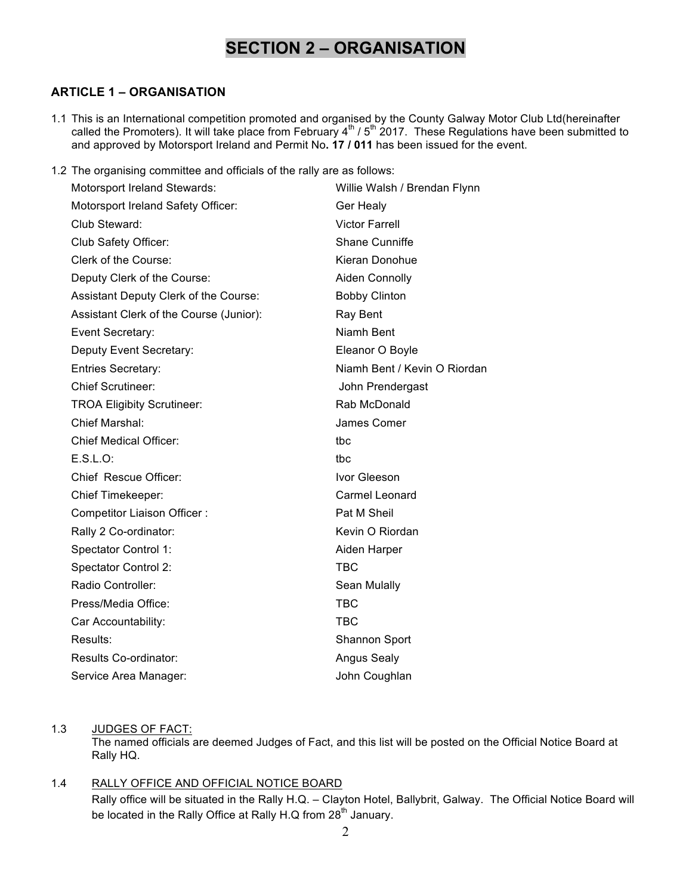# **SECTION 2 – ORGANISATION**

## **ARTICLE 1 – ORGANISATION**

- 1.1 This is an International competition promoted and organised by the County Galway Motor Club Ltd(hereinafter called the Promoters). It will take place from February  $4^{\text{th}}$  /  $5^{\text{th}}$  2017. These Regulations have been submitted to and approved by Motorsport Ireland and Permit No**. 17 / 011** has been issued for the event.
- 1.2 The organising committee and officials of the rally are as follows:

| Motorsport Ireland Stewards:            | Willie Walsh / Brendan Flynn |
|-----------------------------------------|------------------------------|
| Motorsport Ireland Safety Officer:      | Ger Healy                    |
| Club Steward:                           | <b>Victor Farrell</b>        |
| Club Safety Officer:                    | <b>Shane Cunniffe</b>        |
| Clerk of the Course:                    | Kieran Donohue               |
| Deputy Clerk of the Course:             | Aiden Connolly               |
| Assistant Deputy Clerk of the Course:   | <b>Bobby Clinton</b>         |
| Assistant Clerk of the Course (Junior): | Ray Bent                     |
| Event Secretary:                        | Niamh Bent                   |
| Deputy Event Secretary:                 | Eleanor O Boyle              |
| <b>Entries Secretary:</b>               | Niamh Bent / Kevin O Riordan |
| <b>Chief Scrutineer:</b>                | John Prendergast             |
| <b>TROA Eligibity Scrutineer:</b>       | Rab McDonald                 |
| Chief Marshal:                          | James Comer                  |
| <b>Chief Medical Officer:</b>           | tbc                          |
| E.S.L.O.                                | tbc                          |
| Chief Rescue Officer:                   | Ivor Gleeson                 |
| Chief Timekeeper:                       | Carmel Leonard               |
| Competitor Liaison Officer:             | Pat M Sheil                  |
| Rally 2 Co-ordinator:                   | Kevin O Riordan              |
| Spectator Control 1:                    | Aiden Harper                 |
| <b>Spectator Control 2:</b>             | <b>TBC</b>                   |
| Radio Controller:                       | Sean Mulally                 |
| Press/Media Office:                     | <b>TBC</b>                   |
| Car Accountability:                     | <b>TBC</b>                   |
| Results:                                | Shannon Sport                |
| Results Co-ordinator:                   | <b>Angus Sealy</b>           |
| Service Area Manager:                   | John Coughlan                |
|                                         |                              |

## 1.3 JUDGES OF FACT:

The named officials are deemed Judges of Fact, and this list will be posted on the Official Notice Board at Rally HQ.

## 1.4 RALLY OFFICE AND OFFICIAL NOTICE BOARD

Rally office will be situated in the Rally H.Q. – Clayton Hotel, Ballybrit, Galway. The Official Notice Board will be located in the Rally Office at Rally H.Q from  $28<sup>th</sup>$  January.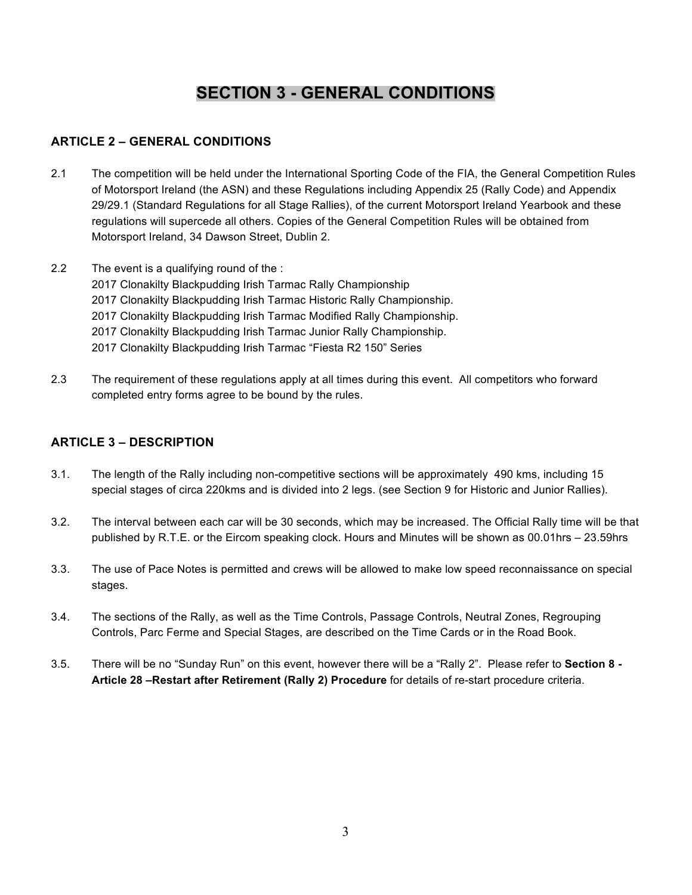## **SECTION 3 - GENERAL CONDITIONS**

## **ARTICLE 2 – GENERAL CONDITIONS**

- 2.1 The competition will be held under the International Sporting Code of the FIA, the General Competition Rules of Motorsport Ireland (the ASN) and these Regulations including Appendix 25 (Rally Code) and Appendix 29/29.1 (Standard Regulations for all Stage Rallies), of the current Motorsport Ireland Yearbook and these regulations will supercede all others. Copies of the General Competition Rules will be obtained from Motorsport Ireland, 34 Dawson Street, Dublin 2.
- 2.2 The event is a qualifying round of the : 2017 Clonakilty Blackpudding Irish Tarmac Rally Championship 2017 Clonakilty Blackpudding Irish Tarmac Historic Rally Championship. 2017 Clonakilty Blackpudding Irish Tarmac Modified Rally Championship. 2017 Clonakilty Blackpudding Irish Tarmac Junior Rally Championship. 2017 Clonakilty Blackpudding Irish Tarmac "Fiesta R2 150" Series
- 2.3 The requirement of these regulations apply at all times during this event. All competitors who forward completed entry forms agree to be bound by the rules.

## **ARTICLE 3 – DESCRIPTION**

- 3.1. The length of the Rally including non-competitive sections will be approximately 490 kms, including 15 special stages of circa 220kms and is divided into 2 legs. (see Section 9 for Historic and Junior Rallies).
- 3.2. The interval between each car will be 30 seconds, which may be increased. The Official Rally time will be that published by R.T.E. or the Eircom speaking clock. Hours and Minutes will be shown as 00.01hrs – 23.59hrs
- 3.3. The use of Pace Notes is permitted and crews will be allowed to make low speed reconnaissance on special stages.
- 3.4. The sections of the Rally, as well as the Time Controls, Passage Controls, Neutral Zones, Regrouping Controls, Parc Ferme and Special Stages, are described on the Time Cards or in the Road Book.
- 3.5. There will be no "Sunday Run" on this event, however there will be a "Rally 2". Please refer to **Section 8 - Article 28 –Restart after Retirement (Rally 2) Procedure** for details of re-start procedure criteria.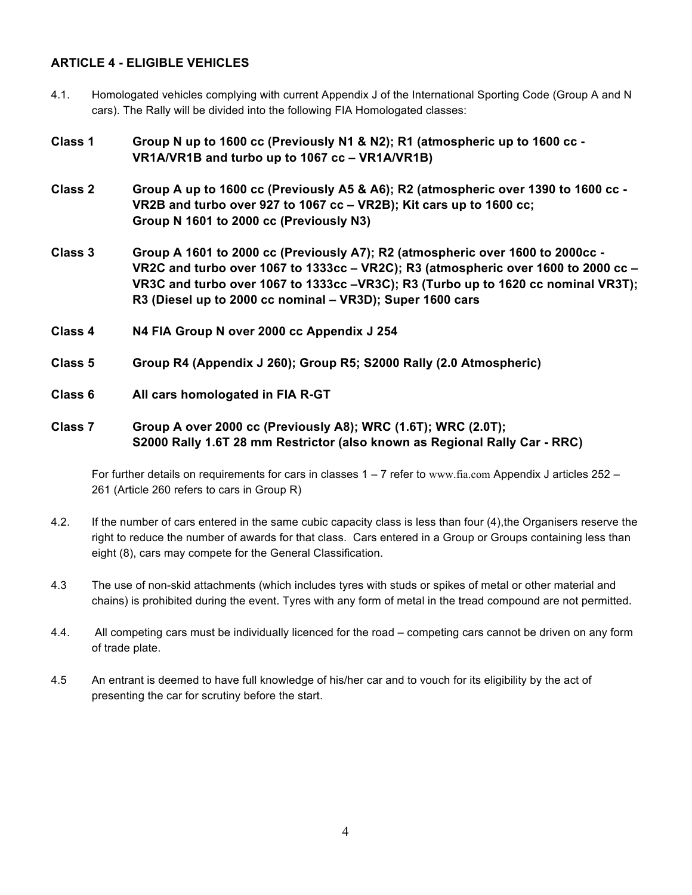## **ARTICLE 4 - ELIGIBLE VEHICLES**

- 4.1. Homologated vehicles complying with current Appendix J of the International Sporting Code (Group A and N cars). The Rally will be divided into the following FIA Homologated classes:
- **Class 1 Group N up to 1600 cc (Previously N1 & N2); R1 (atmospheric up to 1600 cc - VR1A/VR1B and turbo up to 1067 cc – VR1A/VR1B)**
- **Class 2 Group A up to 1600 cc (Previously A5 & A6); R2 (atmospheric over 1390 to 1600 cc - VR2B and turbo over 927 to 1067 cc – VR2B); Kit cars up to 1600 cc; Group N 1601 to 2000 cc (Previously N3)**
- **Class 3 Group A 1601 to 2000 cc (Previously A7); R2 (atmospheric over 1600 to 2000cc - VR2C and turbo over 1067 to 1333cc – VR2C); R3 (atmospheric over 1600 to 2000 cc – VR3C and turbo over 1067 to 1333cc –VR3C); R3 (Turbo up to 1620 cc nominal VR3T); R3 (Diesel up to 2000 cc nominal – VR3D); Super 1600 cars**
- **Class 4 N4 FIA Group N over 2000 cc Appendix J 254**
- **Class 5 Group R4 (Appendix J 260); Group R5; S2000 Rally (2.0 Atmospheric)**
- **Class 6 All cars homologated in FIA R-GT**
- **Class 7 Group A over 2000 cc (Previously A8); WRC (1.6T); WRC (2.0T); S2000 Rally 1.6T 28 mm Restrictor (also known as Regional Rally Car - RRC)**

For further details on requirements for cars in classes 1 – 7 refer to www.fia.com Appendix J articles 252 – 261 (Article 260 refers to cars in Group R)

- 4.2. If the number of cars entered in the same cubic capacity class is less than four (4),the Organisers reserve the right to reduce the number of awards for that class. Cars entered in a Group or Groups containing less than eight (8), cars may compete for the General Classification.
- 4.3 The use of non-skid attachments (which includes tyres with studs or spikes of metal or other material and chains) is prohibited during the event. Tyres with any form of metal in the tread compound are not permitted.
- 4.4. All competing cars must be individually licenced for the road competing cars cannot be driven on any form of trade plate.
- 4.5 An entrant is deemed to have full knowledge of his/her car and to vouch for its eligibility by the act of presenting the car for scrutiny before the start.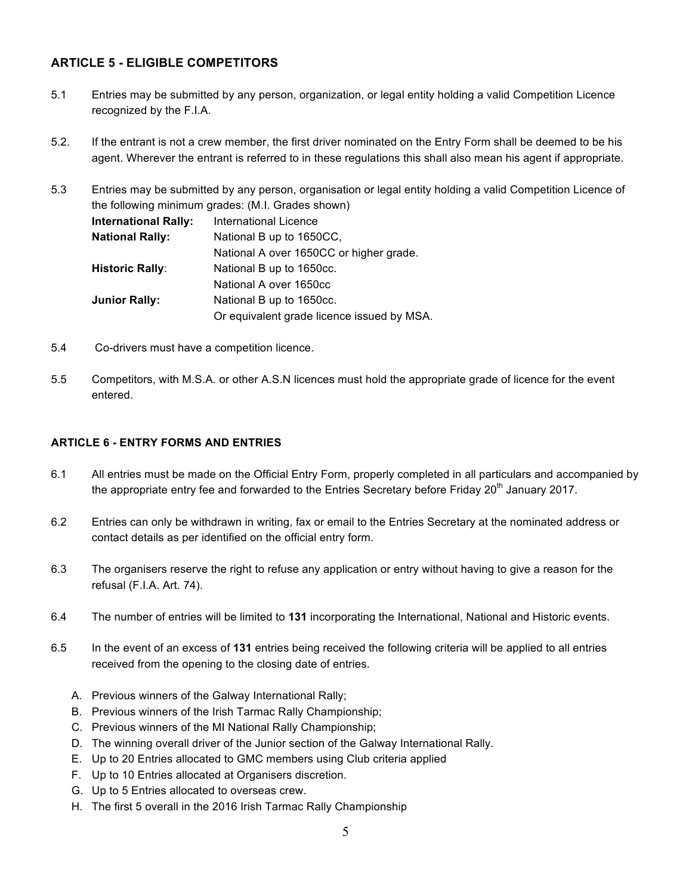## **ARTICLE 5 - ELIGIBLE COMPETITORS**

- 5.1 Entries may be submitted by any person, organization, or legal entity holding a valid Competition Licence recognized by the F.I.A.
- 5.2. If the entrant is not a crew member, the first driver nominated on the Entry Form shall be deemed to be his agent. Wherever the entrant is referred to in these regulations this shall also mean his agent if appropriate.

5.3 Entries may be submitted by any person, organisation or legal entity holding a valid Competition Licence of the following minimum grades: (M.I. Grades shown) **International Rally:** International Licence **National Rally:** National B up to 1650CC, National A over 1650CC or higher grade. **Historic Rally:** National B up to 1650cc. National A over 1650cc **Junior Rally:** National B up to 1650cc. Or equivalent grade licence issued by MSA.

- 5.4 Co-drivers must have a competition licence.
- 5.5 Competitors, with M.S.A. or other A.S.N licences must hold the appropriate grade of licence for the event entered.

#### **ARTICLE 6 - ENTRY FORMS AND ENTRIES**

- 6.1 All entries must be made on the Official Entry Form, properly completed in all particulars and accompanied by the appropriate entry fee and forwarded to the Entries Secretary before Friday 20<sup>th</sup> January 2017.
- 6.2 Entries can only be withdrawn in writing, fax or email to the Entries Secretary at the nominated address or contact details as per identified on the official entry form.
- 6.3 The organisers reserve the right to refuse any application or entry without having to give a reason for the refusal (F.I.A. Art. 74).
- 6.4 The number of entries will be limited to **131** incorporating the International, National and Historic events.

6.5 In the event of an excess of **131** entries being received the following criteria will be applied to all entries received from the opening to the closing date of entries.

- A. Previous winners of the Galway International Rally;
- B. Previous winners of the Irish Tarmac Rally Championship;
- C. Previous winners of the MI National Rally Championship;
- D. The winning overall driver of the Junior section of the Galway International Rally.
- E. Up to 20 Entries allocated to GMC members using Club criteria applied
- F. Up to 10 Entries allocated at Organisers discretion.
- G. Up to 5 Entries allocated to overseas crew.
- H. The first 5 overall in the 2016 Irish Tarmac Rally Championship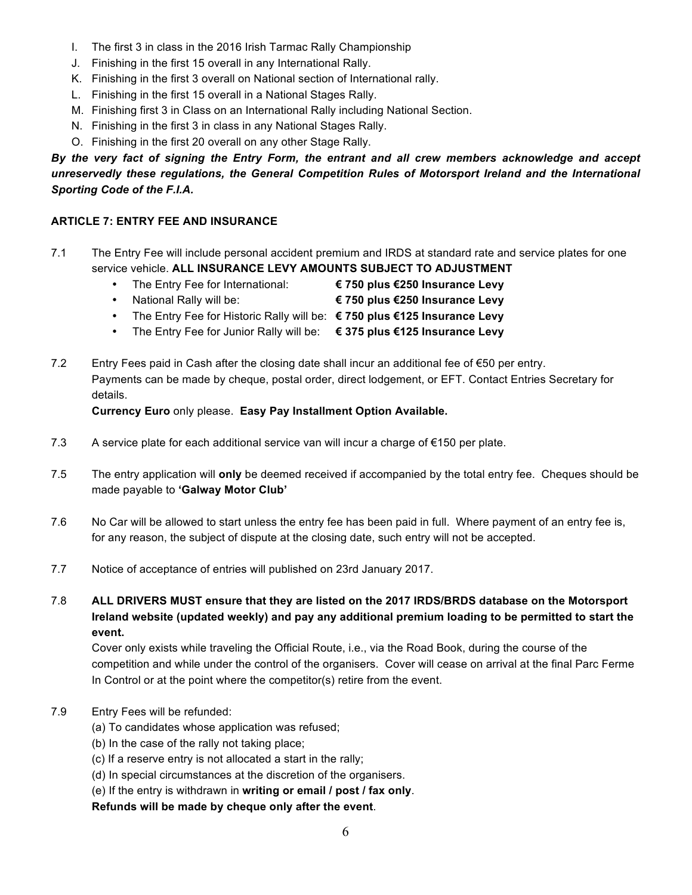- I. The first 3 in class in the 2016 Irish Tarmac Rally Championship
- J. Finishing in the first 15 overall in any International Rally.
- K. Finishing in the first 3 overall on National section of International rally.
- L. Finishing in the first 15 overall in a National Stages Rally.
- M. Finishing first 3 in Class on an International Rally including National Section.
- N. Finishing in the first 3 in class in any National Stages Rally.
- O. Finishing in the first 20 overall on any other Stage Rally.

*By the very fact of signing the Entry Form, the entrant and all crew members acknowledge and accept unreservedly these regulations, the General Competition Rules of Motorsport Ireland and the International Sporting Code of the F.I.A.*

## **ARTICLE 7: ENTRY FEE AND INSURANCE**

- 7.1 The Entry Fee will include personal accident premium and IRDS at standard rate and service plates for one service vehicle. **ALL INSURANCE LEVY AMOUNTS SUBJECT TO ADJUSTMENT**
	- The Entry Fee for International: **€ 750 plus €250 Insurance Levy**
	-
	- National Rally will be: **€ 750 plus €250 Insurance Levy**
	- The Entry Fee for Historic Rally will be: **€ 750 plus €125 Insurance Levy**
	- The Entry Fee for Junior Rally will be: **€ 375 plus €125 Insurance Levy**
- 7.2 Entry Fees paid in Cash after the closing date shall incur an additional fee of  $\epsilon$ 50 per entry. Payments can be made by cheque, postal order, direct lodgement, or EFT. Contact Entries Secretary for details.

**Currency Euro** only please. **Easy Pay Installment Option Available.**

- 7.3 A service plate for each additional service van will incur a charge of  $\epsilon$ 150 per plate.
- 7.5 The entry application will **only** be deemed received if accompanied by the total entry fee. Cheques should be made payable to **'Galway Motor Club'**
- 7.6 No Car will be allowed to start unless the entry fee has been paid in full. Where payment of an entry fee is, for any reason, the subject of dispute at the closing date, such entry will not be accepted.
- 7.7 Notice of acceptance of entries will published on 23rd January 2017.
- 7.8 **ALL DRIVERS MUST ensure that they are listed on the 2017 IRDS/BRDS database on the Motorsport Ireland website (updated weekly) and pay any additional premium loading to be permitted to start the event.**

Cover only exists while traveling the Official Route, i.e., via the Road Book, during the course of the competition and while under the control of the organisers. Cover will cease on arrival at the final Parc Ferme In Control or at the point where the competitor(s) retire from the event.

- 7.9 Entry Fees will be refunded:
	- (a) To candidates whose application was refused;
	- (b) In the case of the rally not taking place;
	- (c) If a reserve entry is not allocated a start in the rally;
	- (d) In special circumstances at the discretion of the organisers.
	- (e) If the entry is withdrawn in **writing or email / post / fax only**.

**Refunds will be made by cheque only after the event**.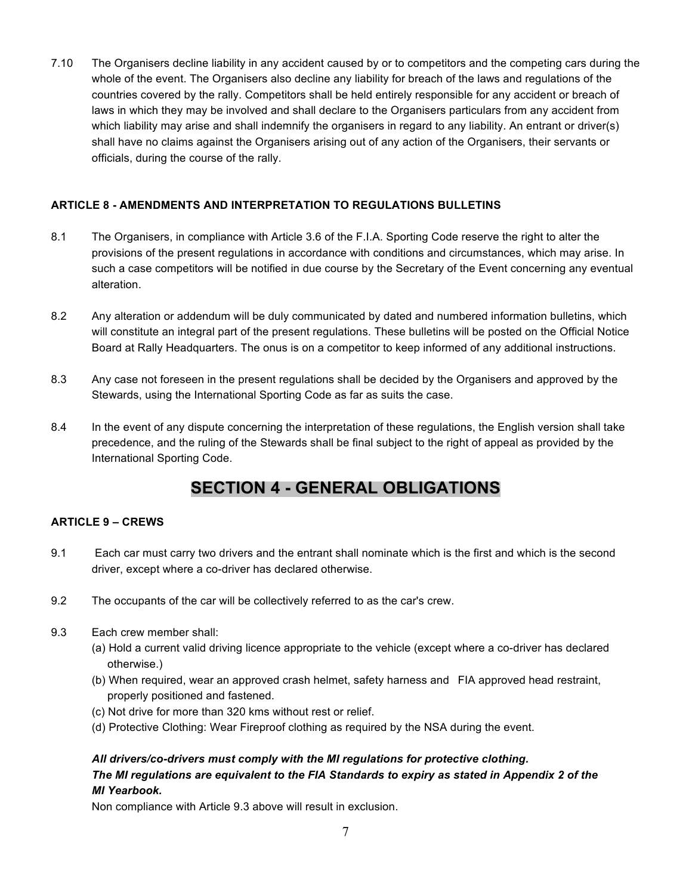7.10 The Organisers decline liability in any accident caused by or to competitors and the competing cars during the whole of the event. The Organisers also decline any liability for breach of the laws and regulations of the countries covered by the rally. Competitors shall be held entirely responsible for any accident or breach of laws in which they may be involved and shall declare to the Organisers particulars from any accident from which liability may arise and shall indemnify the organisers in regard to any liability. An entrant or driver(s) shall have no claims against the Organisers arising out of any action of the Organisers, their servants or officials, during the course of the rally.

## **ARTICLE 8 - AMENDMENTS AND INTERPRETATION TO REGULATIONS BULLETINS**

- 8.1 The Organisers, in compliance with Article 3.6 of the F.I.A. Sporting Code reserve the right to alter the provisions of the present regulations in accordance with conditions and circumstances, which may arise. In such a case competitors will be notified in due course by the Secretary of the Event concerning any eventual alteration.
- 8.2 Any alteration or addendum will be duly communicated by dated and numbered information bulletins, which will constitute an integral part of the present regulations. These bulletins will be posted on the Official Notice Board at Rally Headquarters. The onus is on a competitor to keep informed of any additional instructions.
- 8.3 Any case not foreseen in the present regulations shall be decided by the Organisers and approved by the Stewards, using the International Sporting Code as far as suits the case.
- 8.4 In the event of any dispute concerning the interpretation of these regulations, the English version shall take precedence, and the ruling of the Stewards shall be final subject to the right of appeal as provided by the International Sporting Code.

## **SECTION 4 - GENERAL OBLIGATIONS**

## **ARTICLE 9 – CREWS**

- 9.1 Each car must carry two drivers and the entrant shall nominate which is the first and which is the second driver, except where a co-driver has declared otherwise.
- 9.2 The occupants of the car will be collectively referred to as the car's crew.
- 9.3 Each crew member shall:
	- (a) Hold a current valid driving licence appropriate to the vehicle (except where a co-driver has declared otherwise.)
	- (b) When required, wear an approved crash helmet, safety harness and FIA approved head restraint, properly positioned and fastened.
	- (c) Not drive for more than 320 kms without rest or relief.
	- (d) Protective Clothing: Wear Fireproof clothing as required by the NSA during the event.

## *All drivers/co-drivers must comply with the MI regulations for protective clothing. The MI regulations are equivalent to the FIA Standards to expiry as stated in Appendix 2 of the MI Yearbook.*

Non compliance with Article 9.3 above will result in exclusion.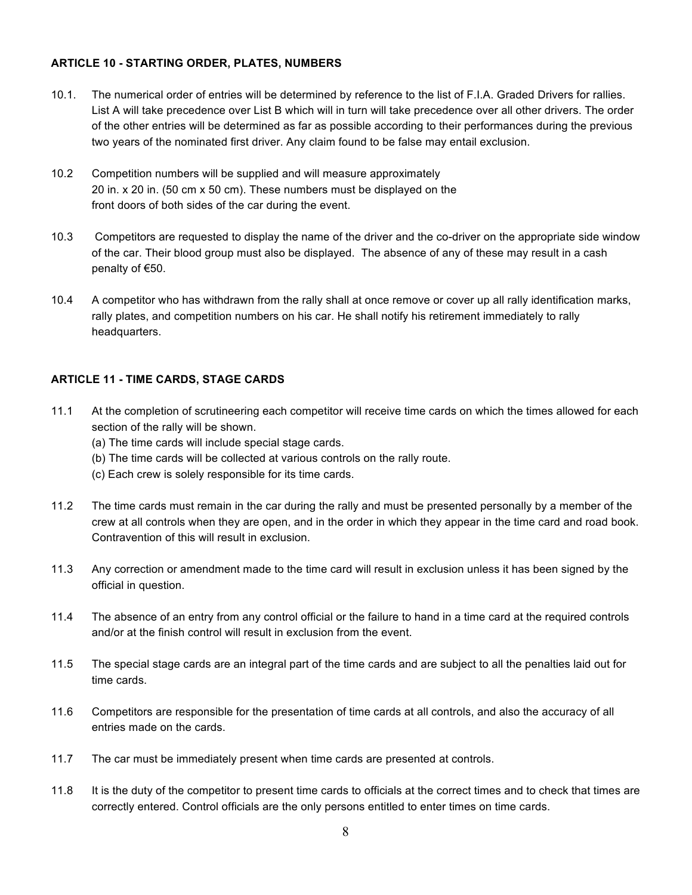## **ARTICLE 10 - STARTING ORDER, PLATES, NUMBERS**

- 10.1. The numerical order of entries will be determined by reference to the list of F.I.A. Graded Drivers for rallies. List A will take precedence over List B which will in turn will take precedence over all other drivers. The order of the other entries will be determined as far as possible according to their performances during the previous two years of the nominated first driver. Any claim found to be false may entail exclusion.
- 10.2 Competition numbers will be supplied and will measure approximately 20 in. x 20 in. (50 cm x 50 cm). These numbers must be displayed on the front doors of both sides of the car during the event.
- 10.3 Competitors are requested to display the name of the driver and the co-driver on the appropriate side window of the car. Their blood group must also be displayed. The absence of any of these may result in a cash penalty of €50.
- 10.4 A competitor who has withdrawn from the rally shall at once remove or cover up all rally identification marks, rally plates, and competition numbers on his car. He shall notify his retirement immediately to rally headquarters.

## **ARTICLE 11 - TIME CARDS, STAGE CARDS**

- 11.1 At the completion of scrutineering each competitor will receive time cards on which the times allowed for each section of the rally will be shown.
	- (a) The time cards will include special stage cards.
	- (b) The time cards will be collected at various controls on the rally route.
	- (c) Each crew is solely responsible for its time cards.
- 11.2 The time cards must remain in the car during the rally and must be presented personally by a member of the crew at all controls when they are open, and in the order in which they appear in the time card and road book. Contravention of this will result in exclusion.
- 11.3 Any correction or amendment made to the time card will result in exclusion unless it has been signed by the official in question.
- 11.4 The absence of an entry from any control official or the failure to hand in a time card at the required controls and/or at the finish control will result in exclusion from the event.
- 11.5 The special stage cards are an integral part of the time cards and are subject to all the penalties laid out for time cards.
- 11.6 Competitors are responsible for the presentation of time cards at all controls, and also the accuracy of all entries made on the cards.
- 11.7 The car must be immediately present when time cards are presented at controls.
- 11.8 It is the duty of the competitor to present time cards to officials at the correct times and to check that times are correctly entered. Control officials are the only persons entitled to enter times on time cards.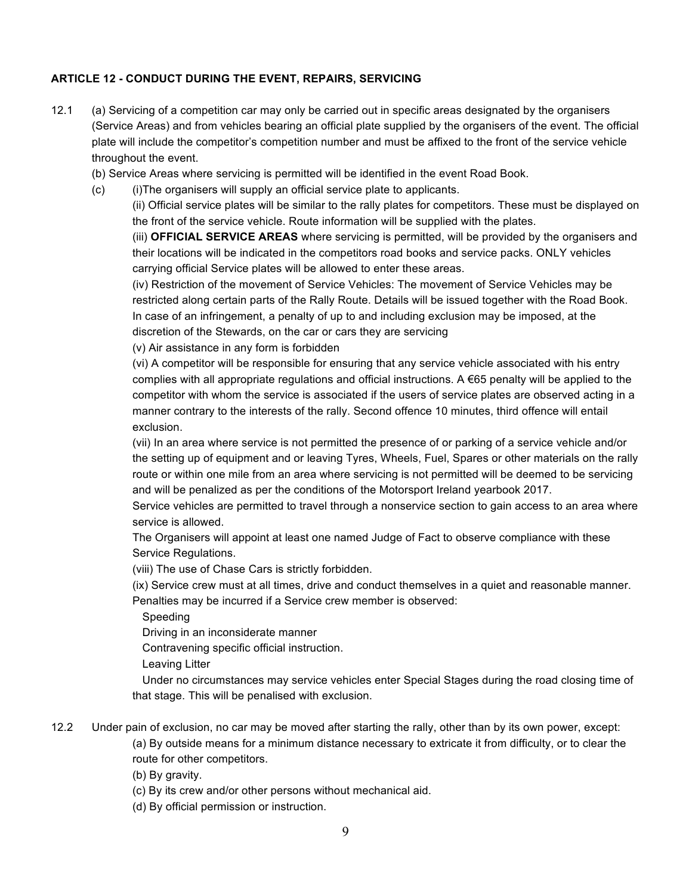## **ARTICLE 12 - CONDUCT DURING THE EVENT, REPAIRS, SERVICING**

12.1 (a) Servicing of a competition car may only be carried out in specific areas designated by the organisers (Service Areas) and from vehicles bearing an official plate supplied by the organisers of the event. The official plate will include the competitor's competition number and must be affixed to the front of the service vehicle throughout the event.

(b) Service Areas where servicing is permitted will be identified in the event Road Book.

(c) (i)The organisers will supply an official service plate to applicants.

(ii) Official service plates will be similar to the rally plates for competitors. These must be displayed on the front of the service vehicle. Route information will be supplied with the plates.

(iii) **OFFICIAL SERVICE AREAS** where servicing is permitted, will be provided by the organisers and their locations will be indicated in the competitors road books and service packs. ONLY vehicles carrying official Service plates will be allowed to enter these areas.

(iv) Restriction of the movement of Service Vehicles: The movement of Service Vehicles may be restricted along certain parts of the Rally Route. Details will be issued together with the Road Book. In case of an infringement, a penalty of up to and including exclusion may be imposed, at the discretion of the Stewards, on the car or cars they are servicing

(v) Air assistance in any form is forbidden

(vi) A competitor will be responsible for ensuring that any service vehicle associated with his entry complies with all appropriate regulations and official instructions. A  $\epsilon$ 65 penalty will be applied to the competitor with whom the service is associated if the users of service plates are observed acting in a manner contrary to the interests of the rally. Second offence 10 minutes, third offence will entail exclusion.

(vii) In an area where service is not permitted the presence of or parking of a service vehicle and/or the setting up of equipment and or leaving Tyres, Wheels, Fuel, Spares or other materials on the rally route or within one mile from an area where servicing is not permitted will be deemed to be servicing and will be penalized as per the conditions of the Motorsport Ireland yearbook 2017.

Service vehicles are permitted to travel through a nonservice section to gain access to an area where service is allowed.

The Organisers will appoint at least one named Judge of Fact to observe compliance with these Service Regulations.

(viii) The use of Chase Cars is strictly forbidden.

(ix) Service crew must at all times, drive and conduct themselves in a quiet and reasonable manner. Penalties may be incurred if a Service crew member is observed:

Speeding

Driving in an inconsiderate manner

Contravening specific official instruction.

Leaving Litter

 Under no circumstances may service vehicles enter Special Stages during the road closing time of that stage. This will be penalised with exclusion.

12.2 Under pain of exclusion, no car may be moved after starting the rally, other than by its own power, except: (a) By outside means for a minimum distance necessary to extricate it from difficulty, or to clear the route for other competitors.

(b) By gravity.

- (c) By its crew and/or other persons without mechanical aid.
- (d) By official permission or instruction.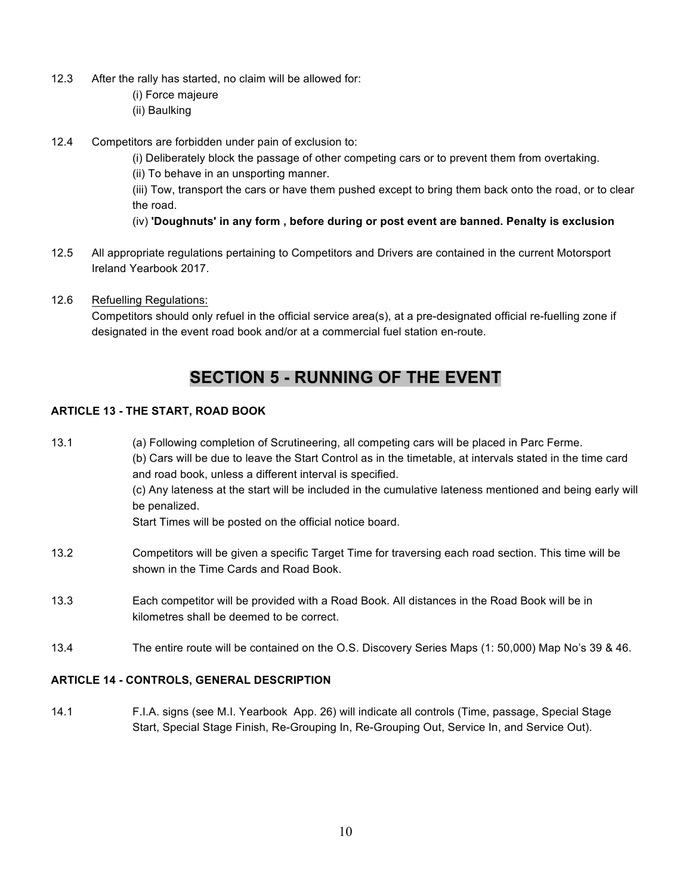- 12.3 After the rally has started, no claim will be allowed for:
	- (i) Force majeure
	- (ii) Baulking
- 12.4 Competitors are forbidden under pain of exclusion to:
	- (i) Deliberately block the passage of other competing cars or to prevent them from overtaking.
	- (ii) To behave in an unsporting manner.

(iii) Tow, transport the cars or have them pushed except to bring them back onto the road, or to clear the road.

- (iv) **'Doughnuts' in any form , before during or post event are banned. Penalty is exclusion**
- 12.5 All appropriate regulations pertaining to Competitors and Drivers are contained in the current Motorsport Ireland Yearbook 2017.
- 12.6 Refuelling Regulations: Competitors should only refuel in the official service area(s), at a pre-designated official re-fuelling zone if designated in the event road book and/or at a commercial fuel station en-route.

## **SECTION 5 - RUNNING OF THE EVENT**

## **ARTICLE 13 - THE START, ROAD BOOK**

- 13.1 (a) Following completion of Scrutineering, all competing cars will be placed in Parc Ferme. (b) Cars will be due to leave the Start Control as in the timetable, at intervals stated in the time card and road book, unless a different interval is specified. (c) Any lateness at the start will be included in the cumulative lateness mentioned and being early will be penalized. Start Times will be posted on the official notice board. 13.2 Competitors will be given a specific Target Time for traversing each road section. This time will be shown in the Time Cards and Road Book.
- 13.3 Each competitor will be provided with a Road Book. All distances in the Road Book will be in kilometres shall be deemed to be correct.
- 13.4 The entire route will be contained on the O.S. Discovery Series Maps (1: 50,000) Map No's 39 & 46.

## **ARTICLE 14 - CONTROLS, GENERAL DESCRIPTION**

14.1 F.I.A. signs (see M.I. Yearbook App. 26) will indicate all controls (Time, passage, Special Stage Start, Special Stage Finish, Re-Grouping In, Re-Grouping Out, Service In, and Service Out).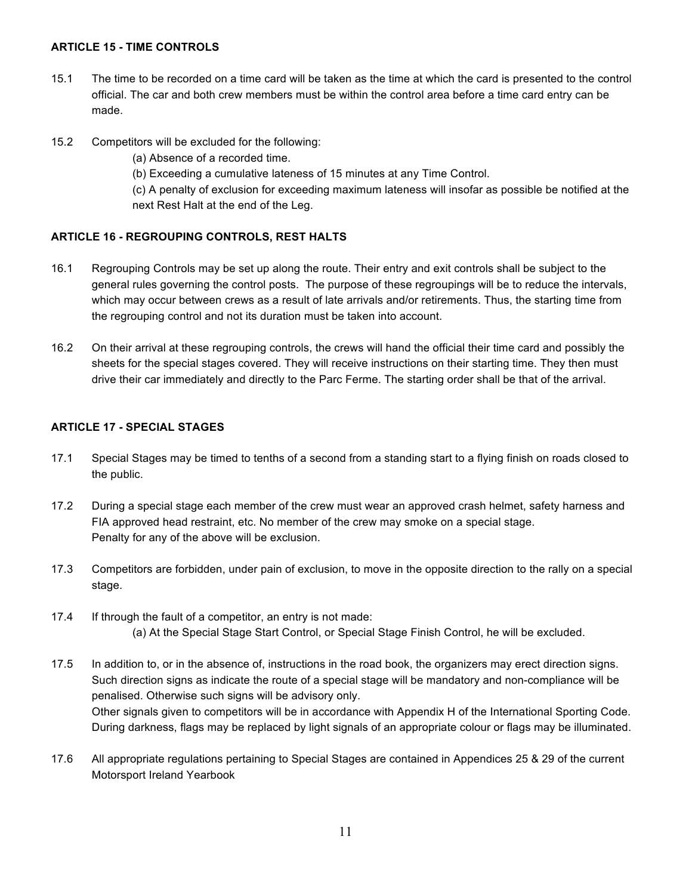## **ARTICLE 15 - TIME CONTROLS**

- 15.1 The time to be recorded on a time card will be taken as the time at which the card is presented to the control official. The car and both crew members must be within the control area before a time card entry can be made.
- 15.2 Competitors will be excluded for the following:
	- (a) Absence of a recorded time.
	- (b) Exceeding a cumulative lateness of 15 minutes at any Time Control.

(c) A penalty of exclusion for exceeding maximum lateness will insofar as possible be notified at the next Rest Halt at the end of the Leg.

## **ARTICLE 16 - REGROUPING CONTROLS, REST HALTS**

- 16.1 Regrouping Controls may be set up along the route. Their entry and exit controls shall be subject to the general rules governing the control posts. The purpose of these regroupings will be to reduce the intervals, which may occur between crews as a result of late arrivals and/or retirements. Thus, the starting time from the regrouping control and not its duration must be taken into account.
- 16.2 On their arrival at these regrouping controls, the crews will hand the official their time card and possibly the sheets for the special stages covered. They will receive instructions on their starting time. They then must drive their car immediately and directly to the Parc Ferme. The starting order shall be that of the arrival.

## **ARTICLE 17 - SPECIAL STAGES**

- 17.1 Special Stages may be timed to tenths of a second from a standing start to a flying finish on roads closed to the public.
- 17.2 During a special stage each member of the crew must wear an approved crash helmet, safety harness and FIA approved head restraint, etc. No member of the crew may smoke on a special stage. Penalty for any of the above will be exclusion.
- 17.3 Competitors are forbidden, under pain of exclusion, to move in the opposite direction to the rally on a special stage.
- 17.4 If through the fault of a competitor, an entry is not made: (a) At the Special Stage Start Control, or Special Stage Finish Control, he will be excluded.
- 17.5 In addition to, or in the absence of, instructions in the road book, the organizers may erect direction signs. Such direction signs as indicate the route of a special stage will be mandatory and non-compliance will be penalised. Otherwise such signs will be advisory only. Other signals given to competitors will be in accordance with Appendix H of the International Sporting Code. During darkness, flags may be replaced by light signals of an appropriate colour or flags may be illuminated.
- 17.6 All appropriate regulations pertaining to Special Stages are contained in Appendices 25 & 29 of the current Motorsport Ireland Yearbook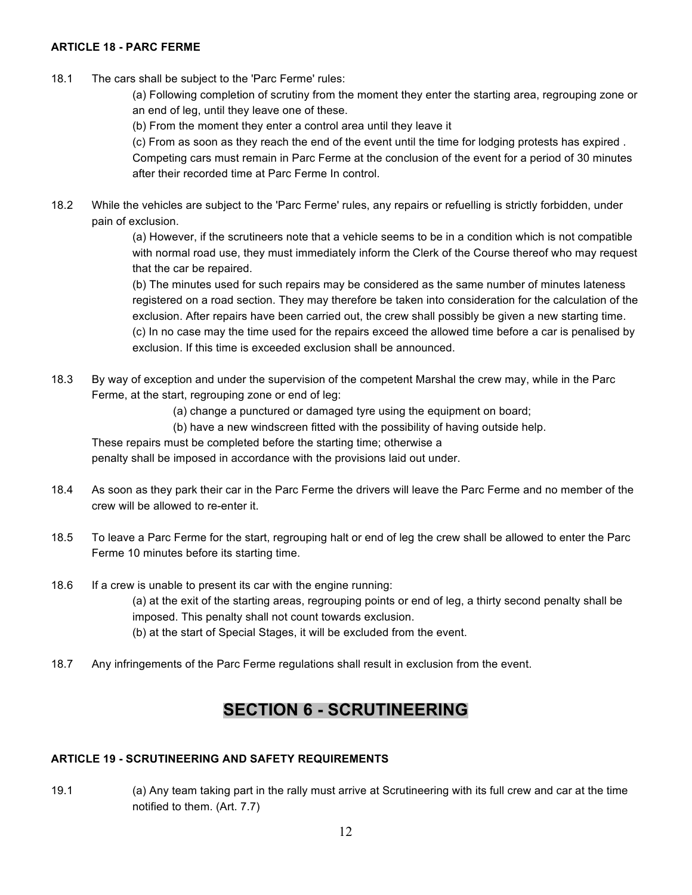### **ARTICLE 18 - PARC FERME**

18.1 The cars shall be subject to the 'Parc Ferme' rules:

(a) Following completion of scrutiny from the moment they enter the starting area, regrouping zone or an end of leg, until they leave one of these.

(b) From the moment they enter a control area until they leave it

(c) From as soon as they reach the end of the event until the time for lodging protests has expired . Competing cars must remain in Parc Ferme at the conclusion of the event for a period of 30 minutes after their recorded time at Parc Ferme In control.

18.2 While the vehicles are subject to the 'Parc Ferme' rules, any repairs or refuelling is strictly forbidden, under pain of exclusion.

> (a) However, if the scrutineers note that a vehicle seems to be in a condition which is not compatible with normal road use, they must immediately inform the Clerk of the Course thereof who may request that the car be repaired.

> (b) The minutes used for such repairs may be considered as the same number of minutes lateness registered on a road section. They may therefore be taken into consideration for the calculation of the exclusion. After repairs have been carried out, the crew shall possibly be given a new starting time. (c) In no case may the time used for the repairs exceed the allowed time before a car is penalised by exclusion. If this time is exceeded exclusion shall be announced.

- 18.3 By way of exception and under the supervision of the competent Marshal the crew may, while in the Parc Ferme, at the start, regrouping zone or end of leg:
	- (a) change a punctured or damaged tyre using the equipment on board;
	- (b) have a new windscreen fitted with the possibility of having outside help.

These repairs must be completed before the starting time; otherwise a penalty shall be imposed in accordance with the provisions laid out under.

- 18.4 As soon as they park their car in the Parc Ferme the drivers will leave the Parc Ferme and no member of the crew will be allowed to re-enter it.
- 18.5 To leave a Parc Ferme for the start, regrouping halt or end of leg the crew shall be allowed to enter the Parc Ferme 10 minutes before its starting time.
- 18.6 If a crew is unable to present its car with the engine running: (a) at the exit of the starting areas, regrouping points or end of leg, a thirty second penalty shall be imposed. This penalty shall not count towards exclusion. (b) at the start of Special Stages, it will be excluded from the event.
- 18.7 Any infringements of the Parc Ferme regulations shall result in exclusion from the event.

## **SECTION 6 - SCRUTINEERING**

## **ARTICLE 19 - SCRUTINEERING AND SAFETY REQUIREMENTS**

19.1 (a) Any team taking part in the rally must arrive at Scrutineering with its full crew and car at the time notified to them. (Art. 7.7)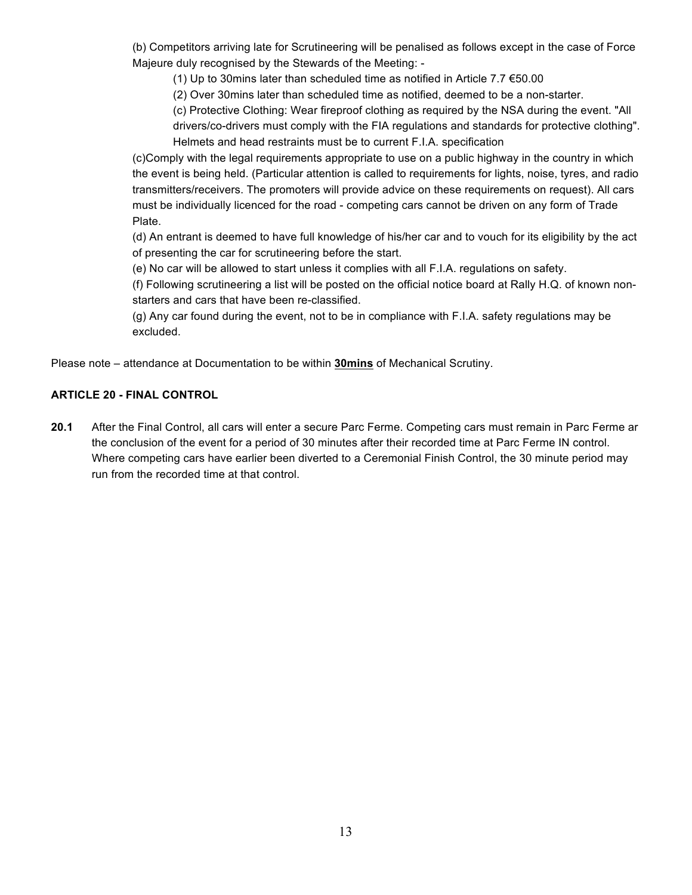(b) Competitors arriving late for Scrutineering will be penalised as follows except in the case of Force Majeure duly recognised by the Stewards of the Meeting: -

(1) Up to 30mins later than scheduled time as notified in Article 7.7 €50.00

(2) Over 30mins later than scheduled time as notified, deemed to be a non-starter.

(c) Protective Clothing: Wear fireproof clothing as required by the NSA during the event. "All drivers/co-drivers must comply with the FIA regulations and standards for protective clothing". Helmets and head restraints must be to current F.I.A. specification

(c)Comply with the legal requirements appropriate to use on a public highway in the country in which the event is being held. (Particular attention is called to requirements for lights, noise, tyres, and radio transmitters/receivers. The promoters will provide advice on these requirements on request). All cars must be individually licenced for the road - competing cars cannot be driven on any form of Trade Plate.

(d) An entrant is deemed to have full knowledge of his/her car and to vouch for its eligibility by the act of presenting the car for scrutineering before the start.

(e) No car will be allowed to start unless it complies with all F.I.A. regulations on safety.

(f) Following scrutineering a list will be posted on the official notice board at Rally H.Q. of known nonstarters and cars that have been re-classified.

(g) Any car found during the event, not to be in compliance with F.I.A. safety regulations may be excluded.

Please note – attendance at Documentation to be within **30mins** of Mechanical Scrutiny.

## **ARTICLE 20 - FINAL CONTROL**

**20.1** After the Final Control, all cars will enter a secure Parc Ferme. Competing cars must remain in Parc Ferme ar the conclusion of the event for a period of 30 minutes after their recorded time at Parc Ferme IN control. Where competing cars have earlier been diverted to a Ceremonial Finish Control, the 30 minute period may run from the recorded time at that control.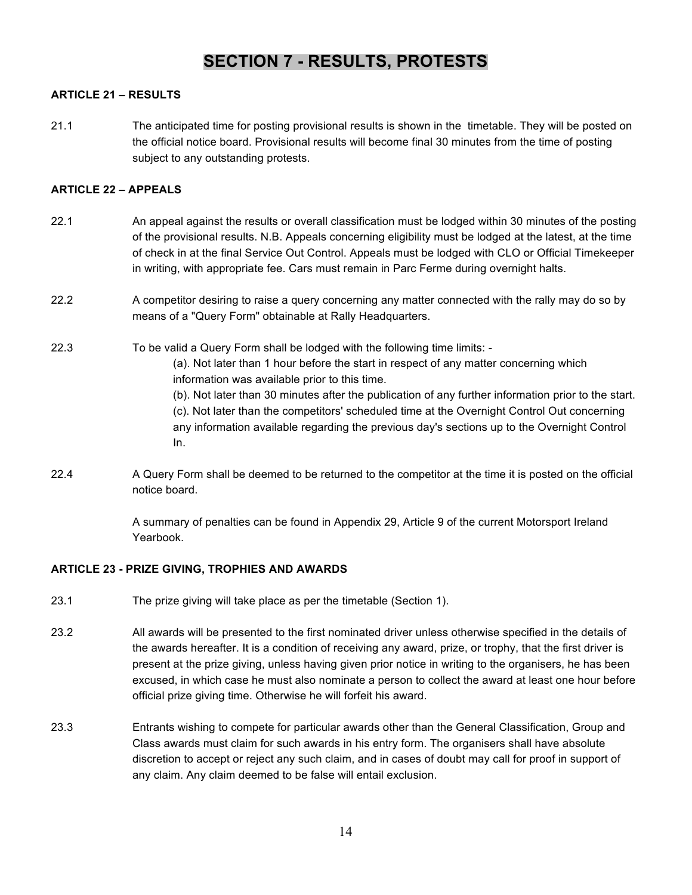## **SECTION 7 - RESULTS, PROTESTS**

## **ARTICLE 21 – RESULTS**

21.1 The anticipated time for posting provisional results is shown in the timetable. They will be posted on the official notice board. Provisional results will become final 30 minutes from the time of posting subject to any outstanding protests.

#### **ARTICLE 22 – APPEALS**

- 22.1 An appeal against the results or overall classification must be lodged within 30 minutes of the posting of the provisional results. N.B. Appeals concerning eligibility must be lodged at the latest, at the time of check in at the final Service Out Control. Appeals must be lodged with CLO or Official Timekeeper in writing, with appropriate fee. Cars must remain in Parc Ferme during overnight halts.
- 22.2 A competitor desiring to raise a query concerning any matter connected with the rally may do so by means of a "Query Form" obtainable at Rally Headquarters.
- 22.3 To be valid a Query Form shall be lodged with the following time limits:
	- (a). Not later than 1 hour before the start in respect of any matter concerning which information was available prior to this time.
	- (b). Not later than 30 minutes after the publication of any further information prior to the start. (c). Not later than the competitors' scheduled time at the Overnight Control Out concerning any information available regarding the previous day's sections up to the Overnight Control In.
- 22.4 A Query Form shall be deemed to be returned to the competitor at the time it is posted on the official notice board.

A summary of penalties can be found in Appendix 29, Article 9 of the current Motorsport Ireland Yearbook.

#### **ARTICLE 23 - PRIZE GIVING, TROPHIES AND AWARDS**

- 23.1 The prize giving will take place as per the timetable (Section 1).
- 23.2 All awards will be presented to the first nominated driver unless otherwise specified in the details of the awards hereafter. It is a condition of receiving any award, prize, or trophy, that the first driver is present at the prize giving, unless having given prior notice in writing to the organisers, he has been excused, in which case he must also nominate a person to collect the award at least one hour before official prize giving time. Otherwise he will forfeit his award.
- 23.3 Entrants wishing to compete for particular awards other than the General Classification, Group and Class awards must claim for such awards in his entry form. The organisers shall have absolute discretion to accept or reject any such claim, and in cases of doubt may call for proof in support of any claim. Any claim deemed to be false will entail exclusion.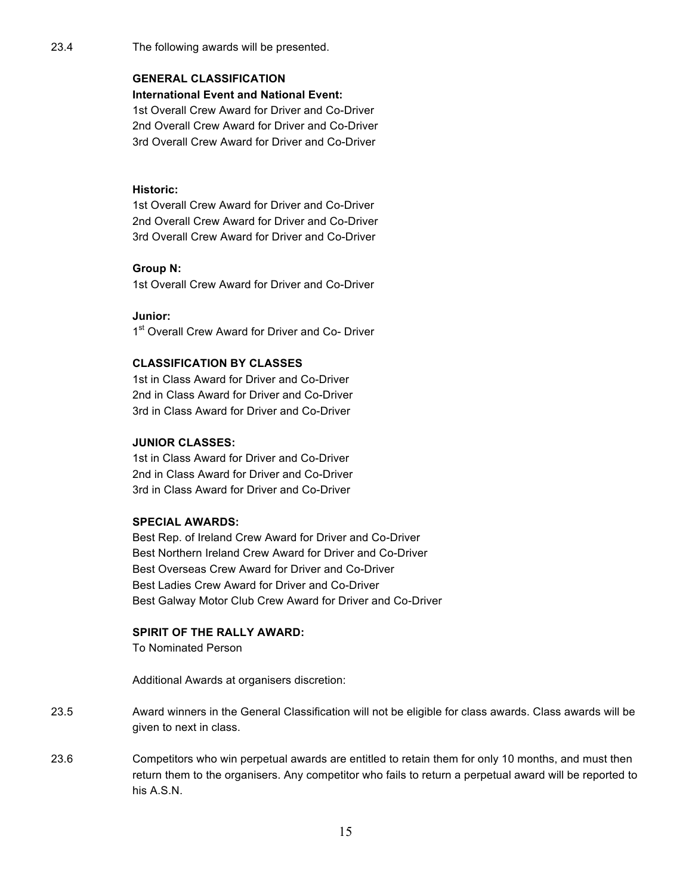## **GENERAL CLASSIFICATION**

### **International Event and National Event:**

1st Overall Crew Award for Driver and Co-Driver 2nd Overall Crew Award for Driver and Co-Driver 3rd Overall Crew Award for Driver and Co-Driver

## **Historic:**

1st Overall Crew Award for Driver and Co-Driver 2nd Overall Crew Award for Driver and Co-Driver 3rd Overall Crew Award for Driver and Co-Driver

## **Group N:**

1st Overall Crew Award for Driver and Co-Driver

**Junior:**

1<sup>st</sup> Overall Crew Award for Driver and Co- Driver

## **CLASSIFICATION BY CLASSES**

1st in Class Award for Driver and Co-Driver 2nd in Class Award for Driver and Co-Driver 3rd in Class Award for Driver and Co-Driver

#### **JUNIOR CLASSES:**

1st in Class Award for Driver and Co-Driver 2nd in Class Award for Driver and Co-Driver 3rd in Class Award for Driver and Co-Driver

## **SPECIAL AWARDS:**

Best Rep. of Ireland Crew Award for Driver and Co-Driver Best Northern Ireland Crew Award for Driver and Co-Driver Best Overseas Crew Award for Driver and Co-Driver Best Ladies Crew Award for Driver and Co-Driver Best Galway Motor Club Crew Award for Driver and Co-Driver

## **SPIRIT OF THE RALLY AWARD:**

To Nominated Person

Additional Awards at organisers discretion:

- 23.5 Award winners in the General Classification will not be eligible for class awards. Class awards will be given to next in class.
- 23.6 Competitors who win perpetual awards are entitled to retain them for only 10 months, and must then return them to the organisers. Any competitor who fails to return a perpetual award will be reported to his A.S.N.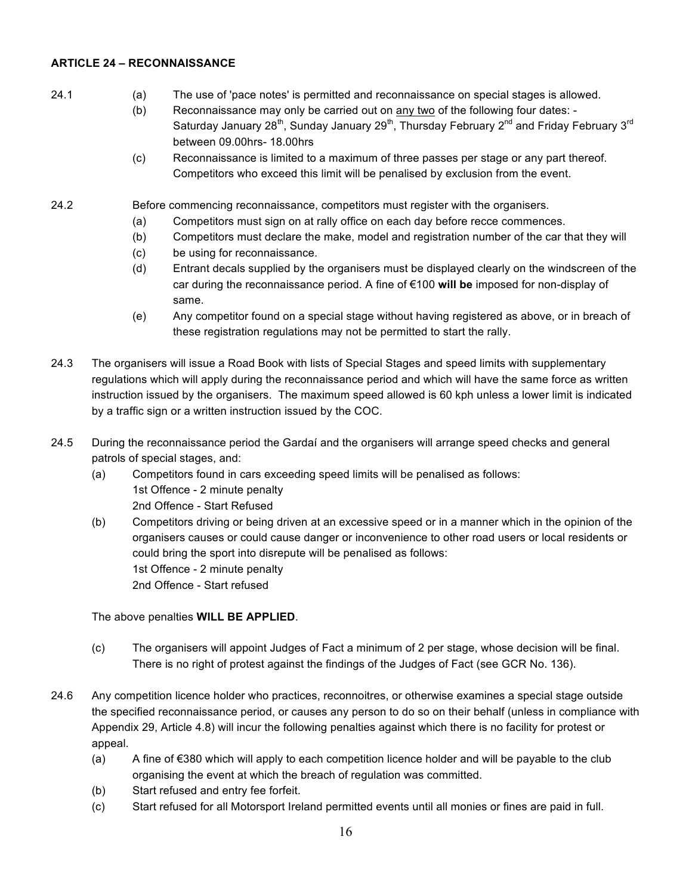## **ARTICLE 24 – RECONNAISSANCE**

- 24.1 (a) The use of 'pace notes' is permitted and reconnaissance on special stages is allowed.
	- (b) Reconnaissance may only be carried out on any two of the following four dates: Saturday January 28<sup>th</sup>, Sunday January 29<sup>th</sup>, Thursday February 2<sup>nd</sup> and Friday February 3<sup>rd</sup> between 09.00hrs- 18.00hrs
	- (c) Reconnaissance is limited to a maximum of three passes per stage or any part thereof. Competitors who exceed this limit will be penalised by exclusion from the event.

24.2 Before commencing reconnaissance, competitors must register with the organisers.

- (a) Competitors must sign on at rally office on each day before recce commences.
- (b) Competitors must declare the make, model and registration number of the car that they will
- (c) be using for reconnaissance.
- (d) Entrant decals supplied by the organisers must be displayed clearly on the windscreen of the car during the reconnaissance period. A fine of €100 **will be** imposed for non-display of same.
- (e) Any competitor found on a special stage without having registered as above, or in breach of these registration regulations may not be permitted to start the rally.
- 24.3 The organisers will issue a Road Book with lists of Special Stages and speed limits with supplementary regulations which will apply during the reconnaissance period and which will have the same force as written instruction issued by the organisers. The maximum speed allowed is 60 kph unless a lower limit is indicated by a traffic sign or a written instruction issued by the COC.
- 24.5 During the reconnaissance period the Gardaí and the organisers will arrange speed checks and general patrols of special stages, and:
	- (a) Competitors found in cars exceeding speed limits will be penalised as follows: 1st Offence - 2 minute penalty 2nd Offence - Start Refused
	- (b) Competitors driving or being driven at an excessive speed or in a manner which in the opinion of the organisers causes or could cause danger or inconvenience to other road users or local residents or could bring the sport into disrepute will be penalised as follows: 1st Offence - 2 minute penalty 2nd Offence - Start refused

The above penalties **WILL BE APPLIED**.

- (c) The organisers will appoint Judges of Fact a minimum of 2 per stage, whose decision will be final. There is no right of protest against the findings of the Judges of Fact (see GCR No. 136).
- 24.6 Any competition licence holder who practices, reconnoitres, or otherwise examines a special stage outside the specified reconnaissance period, or causes any person to do so on their behalf (unless in compliance with Appendix 29, Article 4.8) will incur the following penalties against which there is no facility for protest or appeal.
	- (a) A fine of  $\epsilon$ 380 which will apply to each competition licence holder and will be payable to the club organising the event at which the breach of regulation was committed.
	- (b) Start refused and entry fee forfeit.
	- (c) Start refused for all Motorsport Ireland permitted events until all monies or fines are paid in full.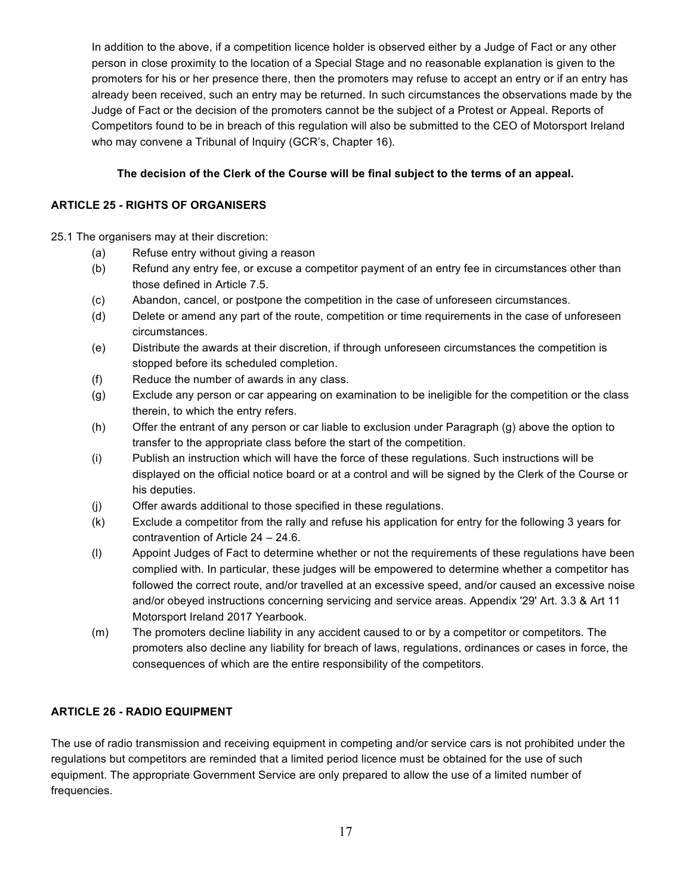In addition to the above, if a competition licence holder is observed either by a Judge of Fact or any other person in close proximity to the location of a Special Stage and no reasonable explanation is given to the promoters for his or her presence there, then the promoters may refuse to accept an entry or if an entry has already been received, such an entry may be returned. In such circumstances the observations made by the Judge of Fact or the decision of the promoters cannot be the subject of a Protest or Appeal. Reports of Competitors found to be in breach of this regulation will also be submitted to the CEO of Motorsport Ireland who may convene a Tribunal of Inquiry (GCR's, Chapter 16).

## **The decision of the Clerk of the Course will be final subject to the terms of an appeal.**

## **ARTICLE 25 - RIGHTS OF ORGANISERS**

25.1 The organisers may at their discretion:

- (a) Refuse entry without giving a reason
- (b) Refund any entry fee, or excuse a competitor payment of an entry fee in circumstances other than those defined in Article 7.5.
- (c) Abandon, cancel, or postpone the competition in the case of unforeseen circumstances.
- (d) Delete or amend any part of the route, competition or time requirements in the case of unforeseen circumstances.
- (e) Distribute the awards at their discretion, if through unforeseen circumstances the competition is stopped before its scheduled completion.
- (f) Reduce the number of awards in any class.
- (g) Exclude any person or car appearing on examination to be ineligible for the competition or the class therein, to which the entry refers.
- (h) Offer the entrant of any person or car liable to exclusion under Paragraph (g) above the option to transfer to the appropriate class before the start of the competition.
- (i) Publish an instruction which will have the force of these regulations. Such instructions will be displayed on the official notice board or at a control and will be signed by the Clerk of the Course or his deputies.
- (j) Offer awards additional to those specified in these regulations.
- (k) Exclude a competitor from the rally and refuse his application for entry for the following 3 years for contravention of Article 24 – 24.6.
- (l) Appoint Judges of Fact to determine whether or not the requirements of these regulations have been complied with. In particular, these judges will be empowered to determine whether a competitor has followed the correct route, and/or travelled at an excessive speed, and/or caused an excessive noise and/or obeyed instructions concerning servicing and service areas. Appendix '29' Art. 3.3 & Art 11 Motorsport Ireland 2017 Yearbook.
- (m) The promoters decline liability in any accident caused to or by a competitor or competitors. The promoters also decline any liability for breach of laws, regulations, ordinances or cases in force, the consequences of which are the entire responsibility of the competitors.

## **ARTICLE 26 - RADIO EQUIPMENT**

The use of radio transmission and receiving equipment in competing and/or service cars is not prohibited under the regulations but competitors are reminded that a limited period licence must be obtained for the use of such equipment. The appropriate Government Service are only prepared to allow the use of a limited number of frequencies.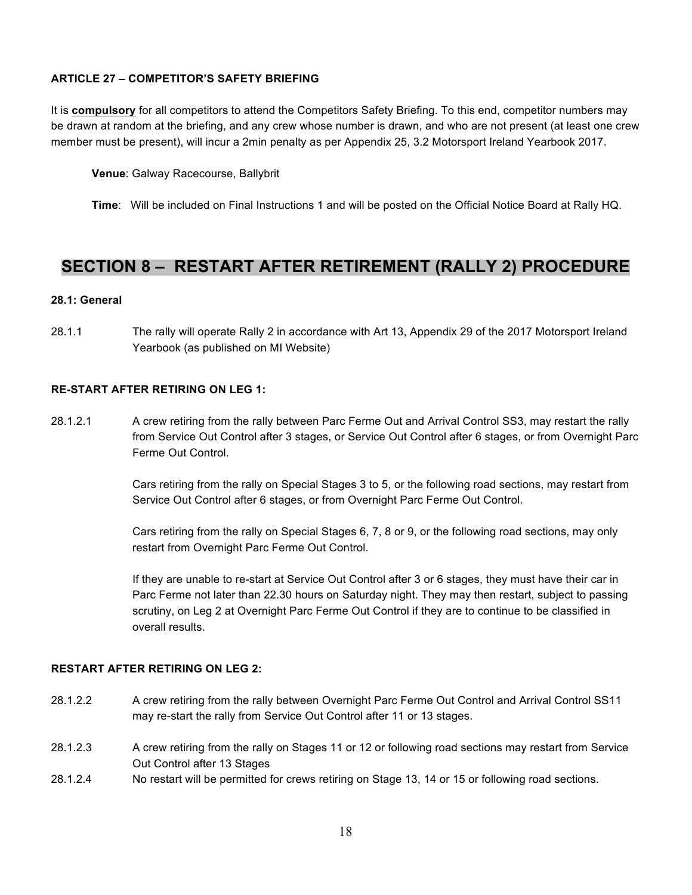## **ARTICLE 27 – COMPETITOR'S SAFETY BRIEFING**

It is **compulsory** for all competitors to attend the Competitors Safety Briefing. To this end, competitor numbers may be drawn at random at the briefing, and any crew whose number is drawn, and who are not present (at least one crew member must be present), will incur a 2min penalty as per Appendix 25, 3.2 Motorsport Ireland Yearbook 2017.

**Venue**: Galway Racecourse, Ballybrit

**Time**: Will be included on Final Instructions 1 and will be posted on the Official Notice Board at Rally HQ.

## **SECTION 8 – RESTART AFTER RETIREMENT (RALLY 2) PROCEDURE**

#### **28.1: General**

28.1.1 The rally will operate Rally 2 in accordance with Art 13, Appendix 29 of the 2017 Motorsport Ireland Yearbook (as published on MI Website)

#### **RE-START AFTER RETIRING ON LEG 1:**

28.1.2.1 A crew retiring from the rally between Parc Ferme Out and Arrival Control SS3, may restart the rally from Service Out Control after 3 stages, or Service Out Control after 6 stages, or from Overnight Parc Ferme Out Control.

> Cars retiring from the rally on Special Stages 3 to 5, or the following road sections, may restart from Service Out Control after 6 stages, or from Overnight Parc Ferme Out Control.

Cars retiring from the rally on Special Stages 6, 7, 8 or 9, or the following road sections, may only restart from Overnight Parc Ferme Out Control.

If they are unable to re-start at Service Out Control after 3 or 6 stages, they must have their car in Parc Ferme not later than 22.30 hours on Saturday night. They may then restart, subject to passing scrutiny, on Leg 2 at Overnight Parc Ferme Out Control if they are to continue to be classified in overall results.

#### **RESTART AFTER RETIRING ON LEG 2:**

- 28.1.2.2 A crew retiring from the rally between Overnight Parc Ferme Out Control and Arrival Control SS11 may re-start the rally from Service Out Control after 11 or 13 stages.
- 28.1.2.3 A crew retiring from the rally on Stages 11 or 12 or following road sections may restart from Service Out Control after 13 Stages
- 28.1.2.4 No restart will be permitted for crews retiring on Stage 13, 14 or 15 or following road sections.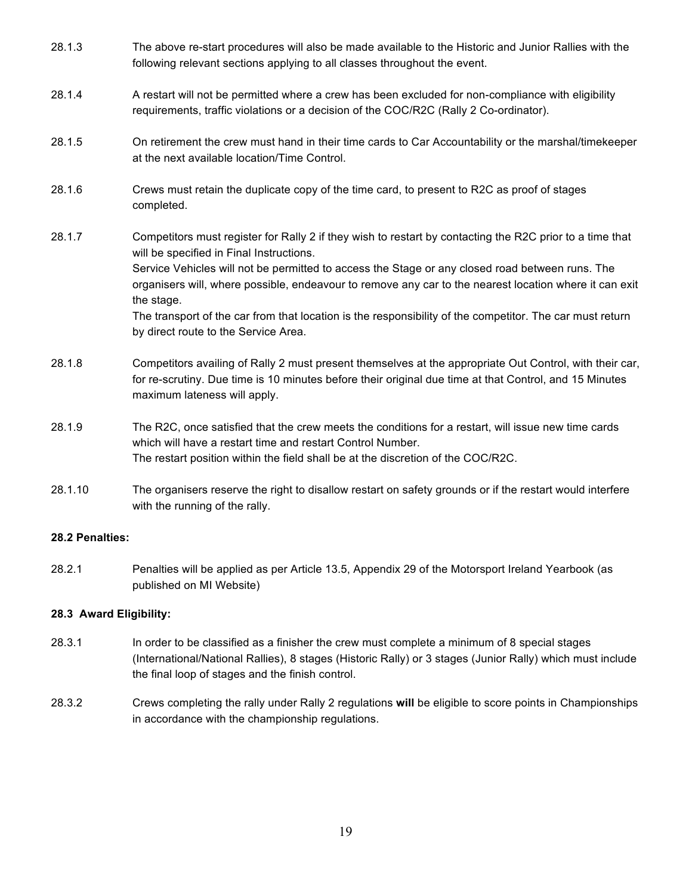| 28.1.3 | The above re-start procedures will also be made available to the Historic and Junior Rallies with the<br>following relevant sections applying to all classes throughout the event.                                                                                                                                                                                                                                                                                                                                                  |
|--------|-------------------------------------------------------------------------------------------------------------------------------------------------------------------------------------------------------------------------------------------------------------------------------------------------------------------------------------------------------------------------------------------------------------------------------------------------------------------------------------------------------------------------------------|
| 28.1.4 | A restart will not be permitted where a crew has been excluded for non-compliance with eligibility<br>requirements, traffic violations or a decision of the COC/R2C (Rally 2 Co-ordinator).                                                                                                                                                                                                                                                                                                                                         |
| 28.1.5 | On retirement the crew must hand in their time cards to Car Accountability or the marshal/time keeper<br>at the next available location/Time Control.                                                                                                                                                                                                                                                                                                                                                                               |
| 28.1.6 | Crews must retain the duplicate copy of the time card, to present to R2C as proof of stages<br>completed.                                                                                                                                                                                                                                                                                                                                                                                                                           |
| 28.1.7 | Competitors must register for Rally 2 if they wish to restart by contacting the R2C prior to a time that<br>will be specified in Final Instructions.<br>Service Vehicles will not be permitted to access the Stage or any closed road between runs. The<br>organisers will, where possible, endeavour to remove any car to the nearest location where it can exit<br>the stage.<br>The transport of the car from that location is the responsibility of the competitor. The car must return<br>by direct route to the Service Area. |
| 28.1.8 | Competitors availing of Rally 2 must present themselves at the appropriate Out Control, with their car,<br>for re-scrutiny. Due time is 10 minutes before their original due time at that Control, and 15 Minutes<br>maximum lateness will apply.                                                                                                                                                                                                                                                                                   |
| 28.1.9 | The R2C, once satisfied that the crew meets the conditions for a restart, will issue new time cards<br>which will have a restart time and restart Control Number.<br>The restart position within the field shall be at the discretion of the COC/R2C.                                                                                                                                                                                                                                                                               |

28.1.10 The organisers reserve the right to disallow restart on safety grounds or if the restart would interfere with the running of the rally.

## **28.2 Penalties:**

28.2.1 Penalties will be applied as per Article 13.5, Appendix 29 of the Motorsport Ireland Yearbook (as published on MI Website)

## **28.3 Award Eligibility:**

- 28.3.1 In order to be classified as a finisher the crew must complete a minimum of 8 special stages (International/National Rallies), 8 stages (Historic Rally) or 3 stages (Junior Rally) which must include the final loop of stages and the finish control.
- 28.3.2 Crews completing the rally under Rally 2 regulations **will** be eligible to score points in Championships in accordance with the championship regulations.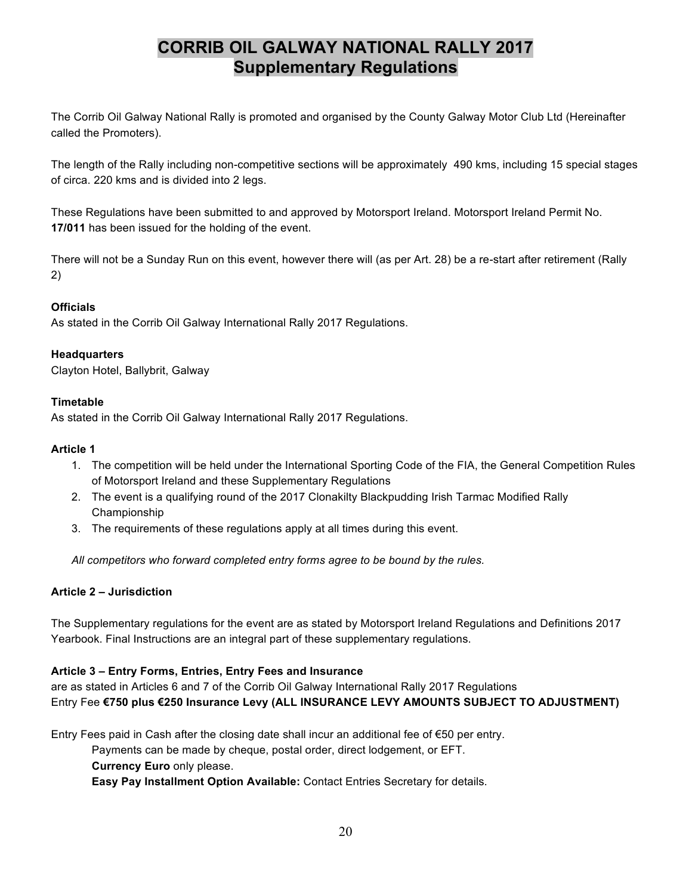## **CORRIB OIL GALWAY NATIONAL RALLY 2017 Supplementary Regulations**

The Corrib Oil Galway National Rally is promoted and organised by the County Galway Motor Club Ltd (Hereinafter called the Promoters).

The length of the Rally including non-competitive sections will be approximately 490 kms, including 15 special stages of circa. 220 kms and is divided into 2 legs.

These Regulations have been submitted to and approved by Motorsport Ireland. Motorsport Ireland Permit No. **17/011** has been issued for the holding of the event.

There will not be a Sunday Run on this event, however there will (as per Art. 28) be a re-start after retirement (Rally 2)

## **Officials**

As stated in the Corrib Oil Galway International Rally 2017 Regulations.

#### **Headquarters**

Clayton Hotel, Ballybrit, Galway

#### **Timetable**

As stated in the Corrib Oil Galway International Rally 2017 Regulations.

#### **Article 1**

- 1. The competition will be held under the International Sporting Code of the FIA, the General Competition Rules of Motorsport Ireland and these Supplementary Regulations
- 2. The event is a qualifying round of the 2017 Clonakilty Blackpudding Irish Tarmac Modified Rally Championship
- 3. The requirements of these regulations apply at all times during this event.

*All competitors who forward completed entry forms agree to be bound by the rules.*

## **Article 2 – Jurisdiction**

The Supplementary regulations for the event are as stated by Motorsport Ireland Regulations and Definitions 2017 Yearbook. Final Instructions are an integral part of these supplementary regulations.

## **Article 3 – Entry Forms, Entries, Entry Fees and Insurance**

are as stated in Articles 6 and 7 of the Corrib Oil Galway International Rally 2017 Regulations Entry Fee **€750 plus €250 Insurance Levy (ALL INSURANCE LEVY AMOUNTS SUBJECT TO ADJUSTMENT)**

Entry Fees paid in Cash after the closing date shall incur an additional fee of €50 per entry.

Payments can be made by cheque, postal order, direct lodgement, or EFT.

## **Currency Euro** only please.

**Easy Pay Installment Option Available:** Contact Entries Secretary for details.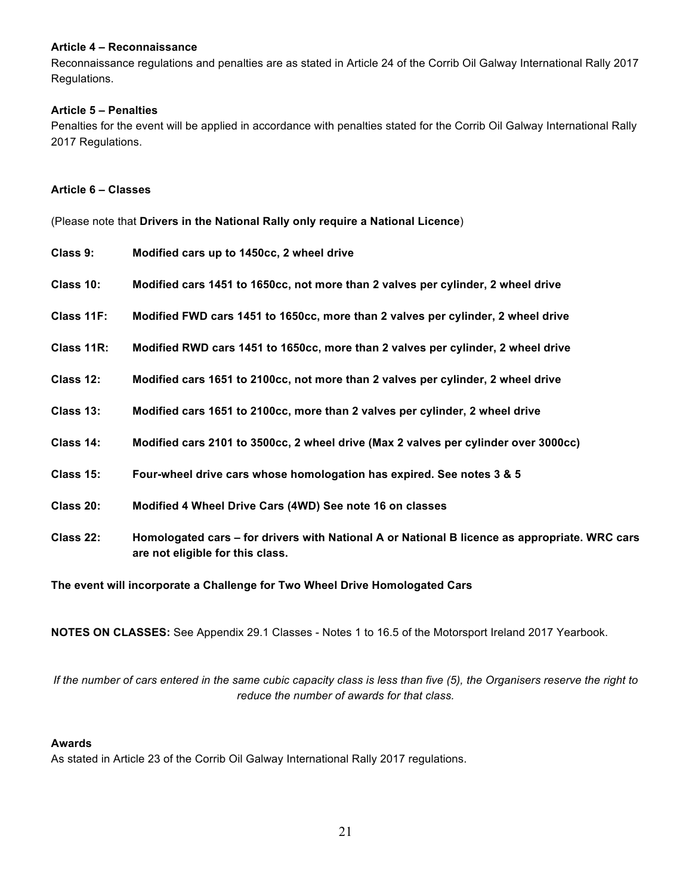#### **Article 4 – Reconnaissance**

Reconnaissance regulations and penalties are as stated in Article 24 of the Corrib Oil Galway International Rally 2017 Regulations.

#### **Article 5 – Penalties**

Penalties for the event will be applied in accordance with penalties stated for the Corrib Oil Galway International Rally 2017 Regulations.

#### **Article 6 – Classes**

(Please note that **Drivers in the National Rally only require a National Licence**)

| Class 9:   | Modified cars up to 1450cc, 2 wheel drive                                                                                         |
|------------|-----------------------------------------------------------------------------------------------------------------------------------|
| Class 10:  | Modified cars 1451 to 1650cc, not more than 2 valves per cylinder, 2 wheel drive                                                  |
| Class 11F: | Modified FWD cars 1451 to 1650cc, more than 2 valves per cylinder, 2 wheel drive                                                  |
| Class 11R: | Modified RWD cars 1451 to 1650cc, more than 2 valves per cylinder, 2 wheel drive                                                  |
| Class 12:  | Modified cars 1651 to 2100cc, not more than 2 valves per cylinder, 2 wheel drive                                                  |
| Class 13:  | Modified cars 1651 to 2100cc, more than 2 valves per cylinder, 2 wheel drive                                                      |
| Class 14:  | Modified cars 2101 to 3500cc, 2 wheel drive (Max 2 valves per cylinder over 3000cc)                                               |
| Class 15:  | Four-wheel drive cars whose homologation has expired. See notes 3 & 5                                                             |
| Class 20:  | Modified 4 Wheel Drive Cars (4WD) See note 16 on classes                                                                          |
| Class 22:  | Homologated cars – for drivers with National A or National B licence as appropriate. WRC cars<br>are not eligible for this class. |

**The event will incorporate a Challenge for Two Wheel Drive Homologated Cars**

**NOTES ON CLASSES:** See Appendix 29.1 Classes - Notes 1 to 16.5 of the Motorsport Ireland 2017 Yearbook.

*If the number of cars entered in the same cubic capacity class is less than five (5), the Organisers reserve the right to reduce the number of awards for that class.*

#### **Awards**

As stated in Article 23 of the Corrib Oil Galway International Rally 2017 regulations.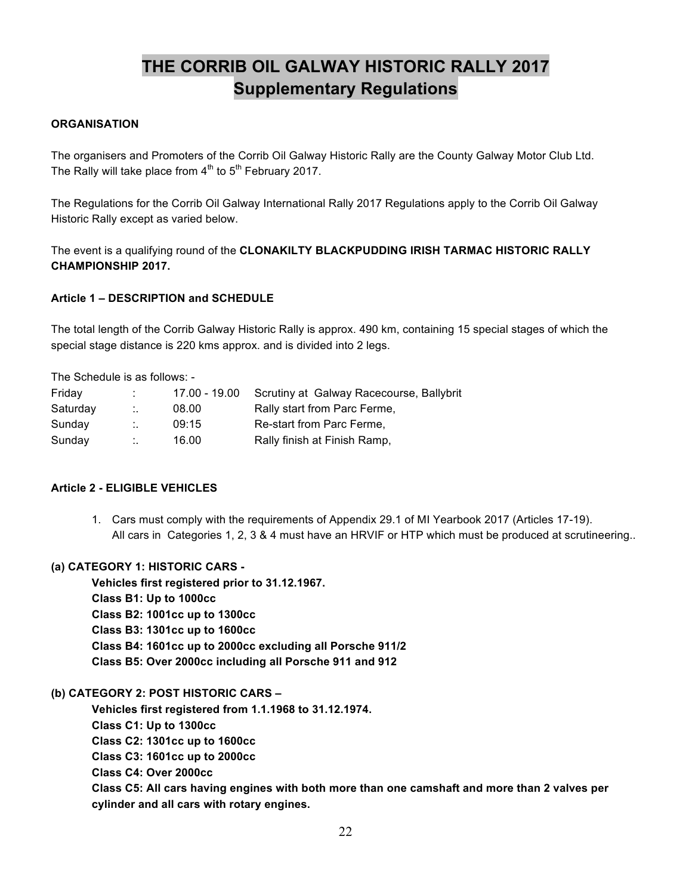# **THE CORRIB OIL GALWAY HISTORIC RALLY 2017 Supplementary Regulations**

## **ORGANISATION**

The organisers and Promoters of the Corrib Oil Galway Historic Rally are the County Galway Motor Club Ltd. The Rally will take place from  $4<sup>th</sup>$  to  $5<sup>th</sup>$  February 2017.

The Regulations for the Corrib Oil Galway International Rally 2017 Regulations apply to the Corrib Oil Galway Historic Rally except as varied below.

The event is a qualifying round of the **CLONAKILTY BLACKPUDDING IRISH TARMAC HISTORIC RALLY CHAMPIONSHIP 2017.**

## **Article 1 – DESCRIPTION and SCHEDULE**

The total length of the Corrib Galway Historic Rally is approx. 490 km, containing 15 special stages of which the special stage distance is 220 kms approx. and is divided into 2 legs.

The Schedule is as follows: -

| Friday   | $\mathbf{r}$ | 17.00 - 19.00 | Scrutiny at Galway Racecourse, Ballybrit |
|----------|--------------|---------------|------------------------------------------|
| Saturday | Η.           | 08.00         | Rally start from Parc Ferme,             |
| Sunday   | ÷.           | 09:15         | Re-start from Parc Ferme,                |
| Sunday   | $\ddotsc$    | 16.00         | Rally finish at Finish Ramp,             |

## **Article 2 - ELIGIBLE VEHICLES**

1. Cars must comply with the requirements of Appendix 29.1 of MI Yearbook 2017 (Articles 17-19). All cars in Categories 1, 2, 3 & 4 must have an HRVIF or HTP which must be produced at scrutineering..

## **(a) CATEGORY 1: HISTORIC CARS -**

 **Vehicles first registered prior to 31.12.1967.**

- **Class B1: Up to 1000cc**
- **Class B2: 1001cc up to 1300cc**
- **Class B3: 1301cc up to 1600cc**
- **Class B4: 1601cc up to 2000cc excluding all Porsche 911/2**
- **Class B5: Over 2000cc including all Porsche 911 and 912**

#### **(b) CATEGORY 2: POST HISTORIC CARS –**

 **Vehicles first registered from 1.1.1968 to 31.12.1974.**

- **Class C1: Up to 1300cc**
- **Class C2: 1301cc up to 1600cc**
- **Class C3: 1601cc up to 2000cc**
- **Class C4: Over 2000cc**

**Class C5: All cars having engines with both more than one camshaft and more than 2 valves per cylinder and all cars with rotary engines.**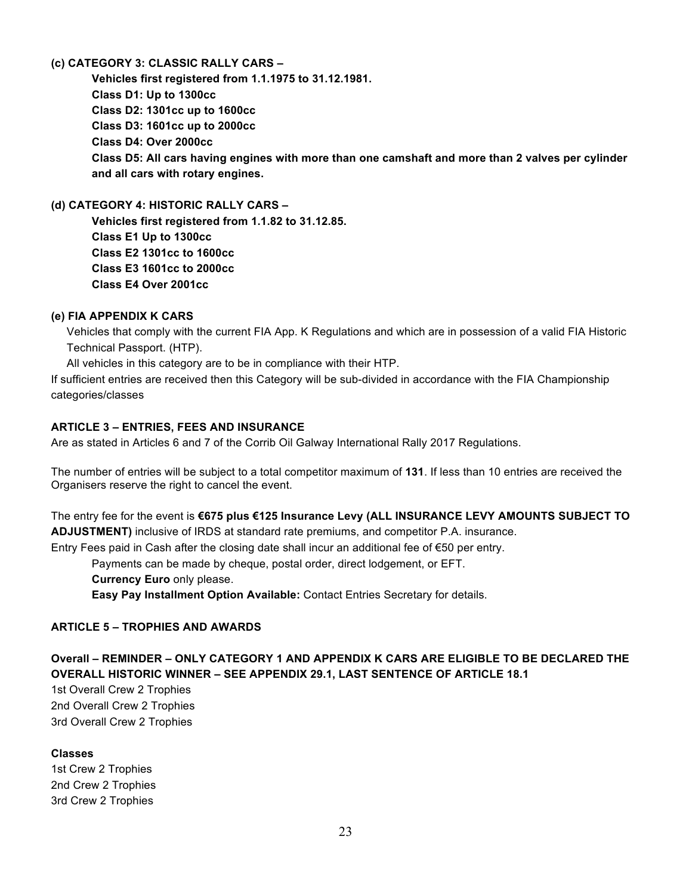## **(c) CATEGORY 3: CLASSIC RALLY CARS –**

 **Vehicles first registered from 1.1.1975 to 31.12.1981. Class D1: Up to 1300cc Class D2: 1301cc up to 1600cc Class D3: 1601cc up to 2000cc Class D4: Over 2000cc Class D5: All cars having engines with more than one camshaft and more than 2 valves per cylinder and all cars with rotary engines.**

**(d) CATEGORY 4: HISTORIC RALLY CARS –**

 **Vehicles first registered from 1.1.82 to 31.12.85. Class E1 Up to 1300cc Class E2 1301cc to 1600cc Class E3 1601cc to 2000cc Class E4 Over 2001cc**

#### **(e) FIA APPENDIX K CARS**

 Vehicles that comply with the current FIA App. K Regulations and which are in possession of a valid FIA Historic Technical Passport. (HTP).

All vehicles in this category are to be in compliance with their HTP.

If sufficient entries are received then this Category will be sub-divided in accordance with the FIA Championship categories/classes

## **ARTICLE 3 – ENTRIES, FEES AND INSURANCE**

Are as stated in Articles 6 and 7 of the Corrib Oil Galway International Rally 2017 Regulations.

The number of entries will be subject to a total competitor maximum of **131**. If less than 10 entries are received the Organisers reserve the right to cancel the event.

The entry fee for the event is **€675 plus €125 Insurance Levy (ALL INSURANCE LEVY AMOUNTS SUBJECT TO ADJUSTMENT)** inclusive of IRDS at standard rate premiums, and competitor P.A. insurance. Entry Fees paid in Cash after the closing date shall incur an additional fee of €50 per entry.

Payments can be made by cheque, postal order, direct lodgement, or EFT.

**Currency Euro** only please.

**Easy Pay Installment Option Available:** Contact Entries Secretary for details.

## **ARTICLE 5 – TROPHIES AND AWARDS**

## **Overall – REMINDER – ONLY CATEGORY 1 AND APPENDIX K CARS ARE ELIGIBLE TO BE DECLARED THE OVERALL HISTORIC WINNER – SEE APPENDIX 29.1, LAST SENTENCE OF ARTICLE 18.1**

1st Overall Crew 2 Trophies 2nd Overall Crew 2 Trophies 3rd Overall Crew 2 Trophies

## **Classes**

1st Crew 2 Trophies 2nd Crew 2 Trophies 3rd Crew 2 Trophies